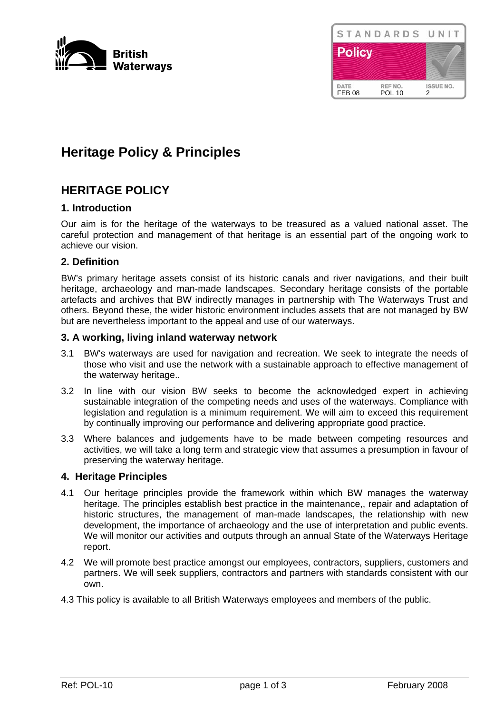



# **Heritage Policy & Principles**

# **HERITAGE POLICY**

# **1. Introduction**

Our aim is for the heritage of the waterways to be treasured as a valued national asset. The careful protection and management of that heritage is an essential part of the ongoing work to achieve our vision.

# **2. Definition**

BW's primary heritage assets consist of its historic canals and river navigations, and their built heritage, archaeology and man-made landscapes. Secondary heritage consists of the portable artefacts and archives that BW indirectly manages in partnership with The Waterways Trust and others. Beyond these, the wider historic environment includes assets that are not managed by BW but are nevertheless important to the appeal and use of our waterways.

#### **3. A working, living inland waterway network**

- 3.1 BW's waterways are used for navigation and recreation. We seek to integrate the needs of those who visit and use the network with a sustainable approach to effective management of the waterway heritage..
- 3.2 In line with our vision BW seeks to become the acknowledged expert in achieving sustainable integration of the competing needs and uses of the waterways. Compliance with legislation and regulation is a minimum requirement. We will aim to exceed this requirement by continually improving our performance and delivering appropriate good practice.
- 3.3 Where balances and judgements have to be made between competing resources and activities, we will take a long term and strategic view that assumes a presumption in favour of preserving the waterway heritage.

#### **4. Heritage Principles**

- 4.1 Our heritage principles provide the framework within which BW manages the waterway heritage. The principles establish best practice in the maintenance,, repair and adaptation of historic structures, the management of man-made landscapes, the relationship with new development, the importance of archaeology and the use of interpretation and public events. We will monitor our activities and outputs through an annual State of the Waterways Heritage report.
- 4.2 We will promote best practice amongst our employees, contractors, suppliers, customers and partners. We will seek suppliers, contractors and partners with standards consistent with our own.
- 4.3 This policy is available to all British Waterways employees and members of the public.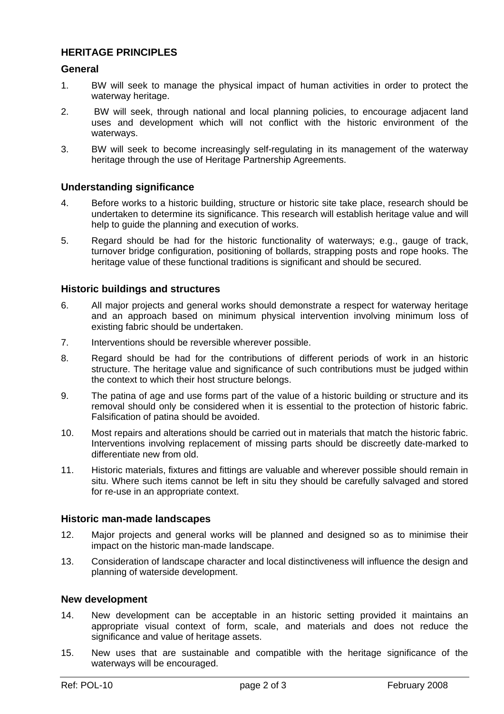# **HERITAGE PRINCIPLES**

# **General**

- 1. BW will seek to manage the physical impact of human activities in order to protect the waterway heritage.
- 2. BW will seek, through national and local planning policies, to encourage adjacent land uses and development which will not conflict with the historic environment of the waterways.
- 3. BW will seek to become increasingly self-regulating in its management of the waterway heritage through the use of Heritage Partnership Agreements.

#### **Understanding significance**

- 4. Before works to a historic building, structure or historic site take place, research should be undertaken to determine its significance. This research will establish heritage value and will help to guide the planning and execution of works.
- 5. Regard should be had for the historic functionality of waterways; e.g., gauge of track, turnover bridge configuration, positioning of bollards, strapping posts and rope hooks. The heritage value of these functional traditions is significant and should be secured.

# **Historic buildings and structures**

- 6. All major projects and general works should demonstrate a respect for waterway heritage and an approach based on minimum physical intervention involving minimum loss of existing fabric should be undertaken.
- 7. Interventions should be reversible wherever possible.
- 8. Regard should be had for the contributions of different periods of work in an historic structure. The heritage value and significance of such contributions must be judged within the context to which their host structure belongs.
- 9. The patina of age and use forms part of the value of a historic building or structure and its removal should only be considered when it is essential to the protection of historic fabric. Falsification of patina should be avoided.
- 10. Most repairs and alterations should be carried out in materials that match the historic fabric. Interventions involving replacement of missing parts should be discreetly date-marked to differentiate new from old.
- 11. Historic materials, fixtures and fittings are valuable and wherever possible should remain in situ. Where such items cannot be left in situ they should be carefully salvaged and stored for re-use in an appropriate context.

#### **Historic man-made landscapes**

- 12. Major projects and general works will be planned and designed so as to minimise their impact on the historic man-made landscape.
- 13. Consideration of landscape character and local distinctiveness will influence the design and planning of waterside development.

# **New development**

- 14. New development can be acceptable in an historic setting provided it maintains an appropriate visual context of form, scale, and materials and does not reduce the significance and value of heritage assets.
- 15. New uses that are sustainable and compatible with the heritage significance of the waterways will be encouraged.